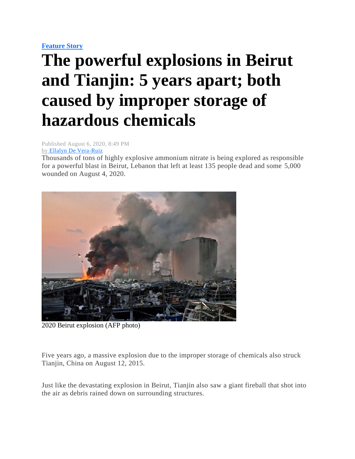## **[Feature Story](https://mb.com.ph/category/news/feature-story/)**

## **The powerful explosions in Beirut and Tianjin: 5 years apart; both caused by improper storage of hazardous chemicals**

Published August 6, 2020, 8:49 PM by [Ellalyn De Vera-Ruiz](https://mb.com.ph/author/ellalyn-de-vera-ruiz)

Thousands of tons of highly explosive ammonium nitrate is being explored as responsible for a powerful blast in Beirut, Lebanon that left at least 135 people dead and some 5,000 wounded on August 4, 2020.



2020 Beirut explosion (AFP photo)

Five years ago, a massive explosion due to the improper storage of chemicals also struck Tianjin, China on August 12, 2015.

Just like the devastating explosion in Beirut, Tianjin also saw a giant fireball that shot into the air as debris rained down on surrounding structures.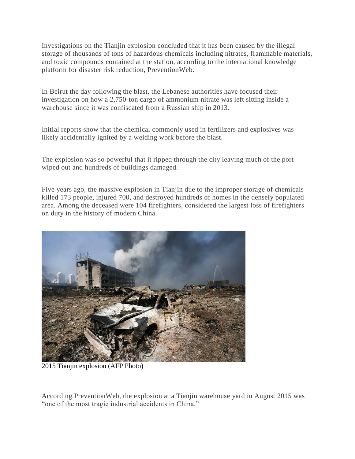Investigations on the Tianjin explosion concluded that it has been caused by the illegal storage of thousands of tons of hazardous chemicals including nitrates, flammable materials, and toxic compounds contained at the station, according to the international knowledge platform for disaster risk reduction, PreventionWeb.

In Beirut the day following the blast, the Lebanese authorities have focused their investigation on how a 2,750-ton cargo of ammonium nitrate was left sitting inside a warehouse since it was confiscated from a Russian ship in 2013.

Initial reports show that the chemical commonly used in fertilizers and explosives was likely accidentally ignited by a welding work before the blast.

The explosion was so powerful that it ripped through the city leaving much of the port wiped out and hundreds of buildings damaged.

Five years ago, the massive explosion in Tianjin due to the improper storage of chemicals killed 173 people, injured 700, and destroyed hundreds of homes in the densely populated area. Among the deceased were 104 firefighters, considered the largest loss of firefighters on duty in the history of modern China.



2015 Tianjin explosion (AFP Photo)

According PreventionWeb, the explosion at a Tianjin warehouse yard in August 2015 was "one of the most tragic industrial accidents in China."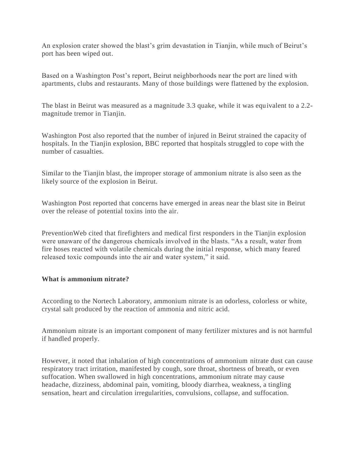An explosion crater showed the blast's grim devastation in Tianjin, while much of Beirut's port has been wiped out.

Based on a Washington Post's report, Beirut neighborhoods near the port are lined with apartments, clubs and restaurants. Many of those buildings were flattened by the explosion.

The blast in Beirut was measured as a magnitude 3.3 quake, while it was equivalent to a 2.2 magnitude tremor in Tianjin.

Washington Post also reported that the number of injured in Beirut strained the capacity of hospitals. In the Tianjin explosion, BBC reported that hospitals struggled to cope with the number of casualties.

Similar to the Tianjin blast, the improper storage of ammonium nitrate is also seen as the likely source of the explosion in Beirut.

Washington Post reported that concerns have emerged in areas near the blast site in Beirut over the release of potential toxins into the air.

PreventionWeb cited that firefighters and medical first responders in the Tianjin explosion were unaware of the dangerous chemicals involved in the blasts. "As a result, water from fire hoses reacted with volatile chemicals during the initial response, which many feared released toxic compounds into the air and water system," it said.

## **What is ammonium nitrate?**

According to the Nortech Laboratory, ammonium nitrate is an odorless, colorless or white, crystal salt produced by the reaction of ammonia and nitric acid.

Ammonium nitrate is an important component of many fertilizer mixtures and is not harmful if handled properly.

However, it noted that inhalation of high concentrations of ammonium nitrate dust can cause respiratory tract irritation, manifested by cough, sore throat, shortness of breath, or even suffocation. When swallowed in high concentrations, ammonium nitrate may cause headache, dizziness, abdominal pain, vomiting, bloody diarrhea, weakness, a tingling sensation, heart and circulation irregularities, convulsions, collapse, and suffocation.